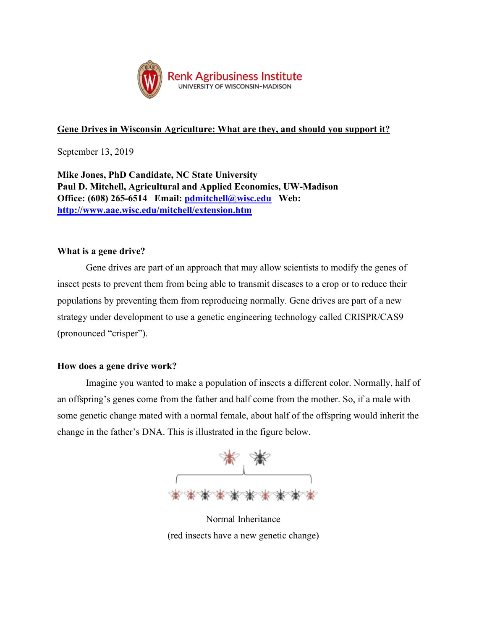

# **Gene Drives in Wisconsin Agriculture: What are they, and should you support it?**

September 13, 2019

**Mike Jones, PhD Candidate, NC State University Paul D. Mitchell, Agricultural and Applied Economics, UW-Madison Office: (608) 265-6514 Email: [pdmitchell@wisc.edu](mailto:pdmitchell@wisc.edu) Web: <http://www.aae.wisc.edu/mitchell/extension.htm>**

## **What is a gene drive?**

Gene drives are part of an approach that may allow scientists to modify the genes of insect pests to prevent them from being able to transmit diseases to a crop or to reduce their populations by preventing them from reproducing normally. Gene drives are part of a new strategy under development to use a genetic engineering technology called CRISPR/CAS9 (pronounced "crisper").

### **How does a gene drive work?**

Imagine you wanted to make a population of insects a different color. Normally, half of an offspring's genes come from the father and half come from the mother. So, if a male with some genetic change mated with a normal female, about half of the offspring would inherit the change in the father's DNA. This is illustrated in the figure below.



Normal Inheritance (red insects have a new genetic change)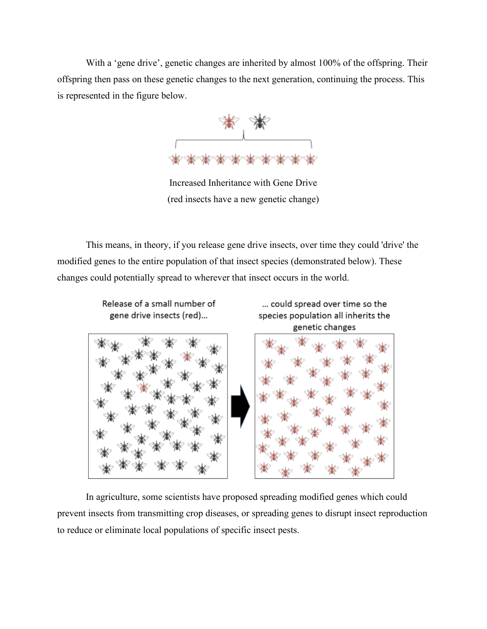With a 'gene drive', genetic changes are inherited by almost 100% of the offspring. Their offspring then pass on these genetic changes to the next generation, continuing the process. This is represented in the figure below.



Increased Inheritance with Gene Drive (red insects have a new genetic change)

This means, in theory, if you release gene drive insects, over time they could 'drive' the modified genes to the entire population of that insect species (demonstrated below). These changes could potentially spread to wherever that insect occurs in the world.

> Release of a small number of gene drive insects (red)...

... could spread over time so the species population all inherits the genetic changes



In agriculture, some scientists have proposed spreading modified genes which could prevent insects from transmitting crop diseases, or spreading genes to disrupt insect reproduction to reduce or eliminate local populations of specific insect pests.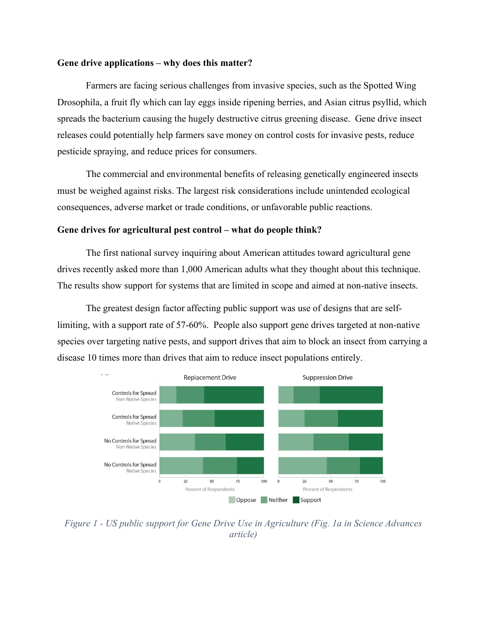### **Gene drive applications – why does this matter?**

Farmers are facing serious challenges from invasive species, such as the Spotted Wing Drosophila, a fruit fly which can lay eggs inside ripening berries, and Asian citrus psyllid, which spreads the bacterium causing the hugely destructive citrus greening disease. Gene drive insect releases could potentially help farmers save money on control costs for invasive pests, reduce pesticide spraying, and reduce prices for consumers.

The commercial and environmental benefits of releasing genetically engineered insects must be weighed against risks. The largest risk considerations include unintended ecological consequences, adverse market or trade conditions, or unfavorable public reactions.

#### **Gene drives for agricultural pest control – what do people think?**

The first national survey inquiring about American attitudes toward agricultural gene drives recently asked more than 1,000 American adults what they thought about this technique. The results show support for systems that are limited in scope and aimed at non-native insects.

The greatest design factor affecting public support was use of designs that are selflimiting, with a support rate of 57-60%. People also support gene drives targeted at non-native species over targeting native pests, and support drives that aim to block an insect from carrying a disease 10 times more than drives that aim to reduce insect populations entirely.



*Figure 1 - US public support for Gene Drive Use in Agriculture (Fig. 1a in Science Advances article)*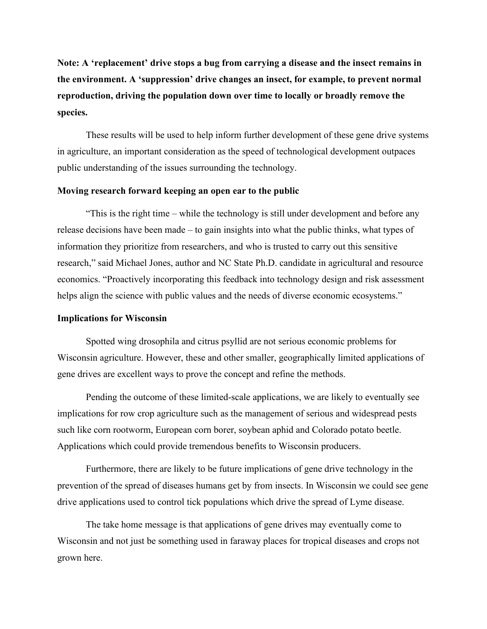**Note: A 'replacement' drive stops a bug from carrying a disease and the insect remains in the environment. A 'suppression' drive changes an insect, for example, to prevent normal reproduction, driving the population down over time to locally or broadly remove the species.**

These results will be used to help inform further development of these gene drive systems in agriculture, an important consideration as the speed of technological development outpaces public understanding of the issues surrounding the technology.

#### **Moving research forward keeping an open ear to the public**

"This is the right time – while the technology is still under development and before any release decisions have been made – to gain insights into what the public thinks, what types of information they prioritize from researchers, and who is trusted to carry out this sensitive research," said Michael Jones, author and NC State Ph.D. candidate in agricultural and resource economics. "Proactively incorporating this feedback into technology design and risk assessment helps align the science with public values and the needs of diverse economic ecosystems."

### **Implications for Wisconsin**

Spotted wing drosophila and citrus psyllid are not serious economic problems for Wisconsin agriculture. However, these and other smaller, geographically limited applications of gene drives are excellent ways to prove the concept and refine the methods.

Pending the outcome of these limited-scale applications, we are likely to eventually see implications for row crop agriculture such as the management of serious and widespread pests such like corn rootworm, European corn borer, soybean aphid and Colorado potato beetle. Applications which could provide tremendous benefits to Wisconsin producers.

Furthermore, there are likely to be future implications of gene drive technology in the prevention of the spread of diseases humans get by from insects. In Wisconsin we could see gene drive applications used to control tick populations which drive the spread of Lyme disease.

The take home message is that applications of gene drives may eventually come to Wisconsin and not just be something used in faraway places for tropical diseases and crops not grown here.